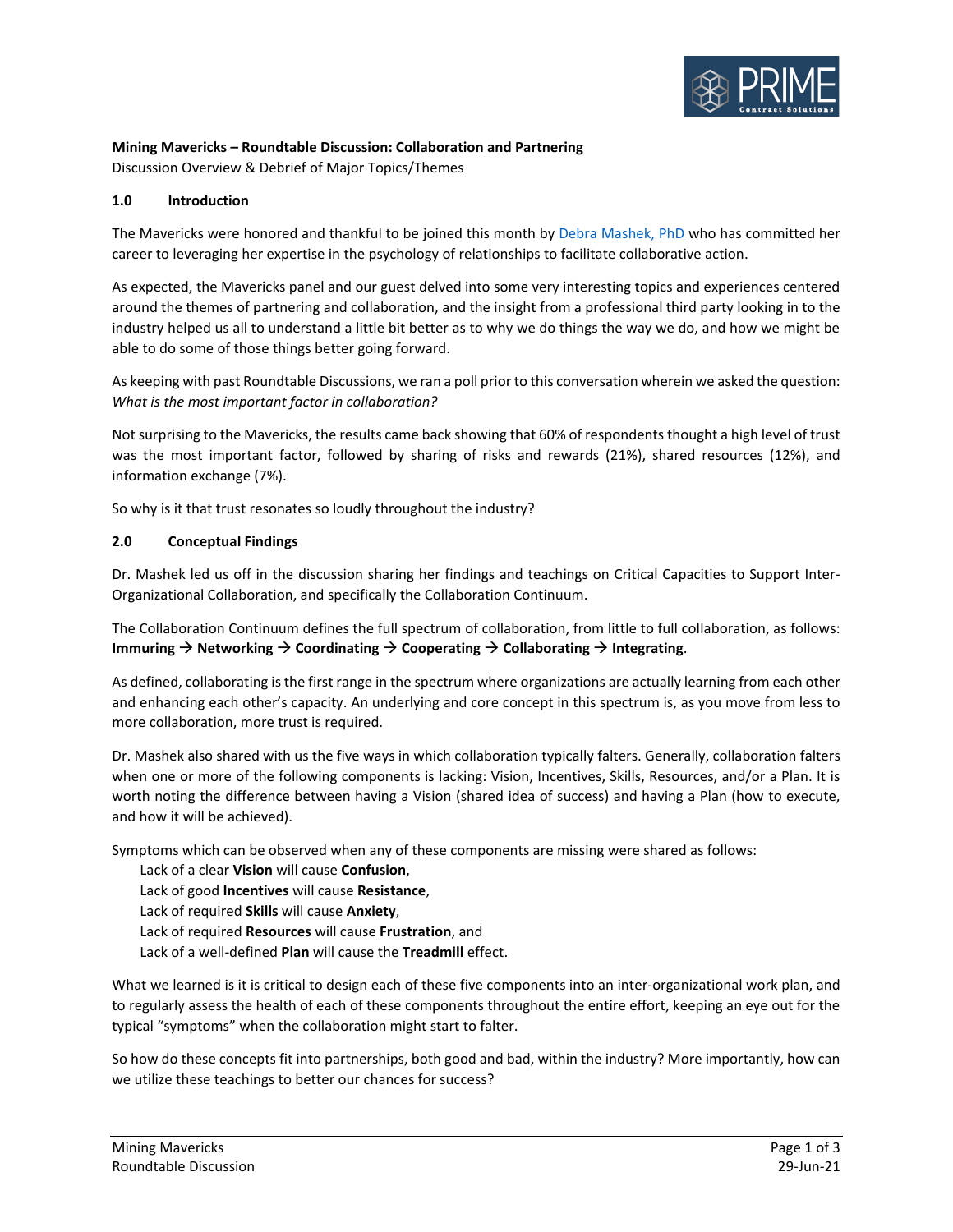

# **Mining Mavericks – Roundtable Discussion: Collaboration and Partnering**

Discussion Overview & Debrief of Major Topics/Themes

# **1.0 Introduction**

The Mavericks were honored and thankful to be joined this month by [Debra Mashek, PhD](https://www.linkedin.com/in/debra-mashek/) who has committed her career to leveraging her expertise in the psychology of relationships to facilitate collaborative action.

As expected, the Mavericks panel and our guest delved into some very interesting topics and experiences centered around the themes of partnering and collaboration, and the insight from a professional third party looking in to the industry helped us all to understand a little bit better as to why we do things the way we do, and how we might be able to do some of those things better going forward.

As keeping with past Roundtable Discussions, we ran a poll prior to this conversation wherein we asked the question: *What is the most important factor in collaboration?*

Not surprising to the Mavericks, the results came back showing that 60% of respondents thought a high level of trust was the most important factor, followed by sharing of risks and rewards (21%), shared resources (12%), and information exchange (7%).

So why is it that trust resonates so loudly throughout the industry?

## **2.0 Conceptual Findings**

Dr. Mashek led us off in the discussion sharing her findings and teachings on Critical Capacities to Support Inter-Organizational Collaboration, and specifically the Collaboration Continuum.

The Collaboration Continuum defines the full spectrum of collaboration, from little to full collaboration, as follows: **Immuring** → **Networking** → **Coordinating** → **Cooperating** → **Collaborating** → **Integrating**.

As defined, collaborating is the first range in the spectrum where organizations are actually learning from each other and enhancing each other's capacity. An underlying and core concept in this spectrum is, as you move from less to more collaboration, more trust is required.

Dr. Mashek also shared with us the five ways in which collaboration typically falters. Generally, collaboration falters when one or more of the following components is lacking: Vision, Incentives, Skills, Resources, and/or a Plan. It is worth noting the difference between having a Vision (shared idea of success) and having a Plan (how to execute, and how it will be achieved).

Symptoms which can be observed when any of these components are missing were shared as follows:

Lack of a clear **Vision** will cause **Confusion**,

Lack of good **Incentives** will cause **Resistance**,

- Lack of required **Skills** will cause **Anxiety**,
- Lack of required **Resources** will cause **Frustration**, and
- Lack of a well-defined **Plan** will cause the **Treadmill** effect.

What we learned is it is critical to design each of these five components into an inter-organizational work plan, and to regularly assess the health of each of these components throughout the entire effort, keeping an eye out for the typical "symptoms" when the collaboration might start to falter.

So how do these concepts fit into partnerships, both good and bad, within the industry? More importantly, how can we utilize these teachings to better our chances for success?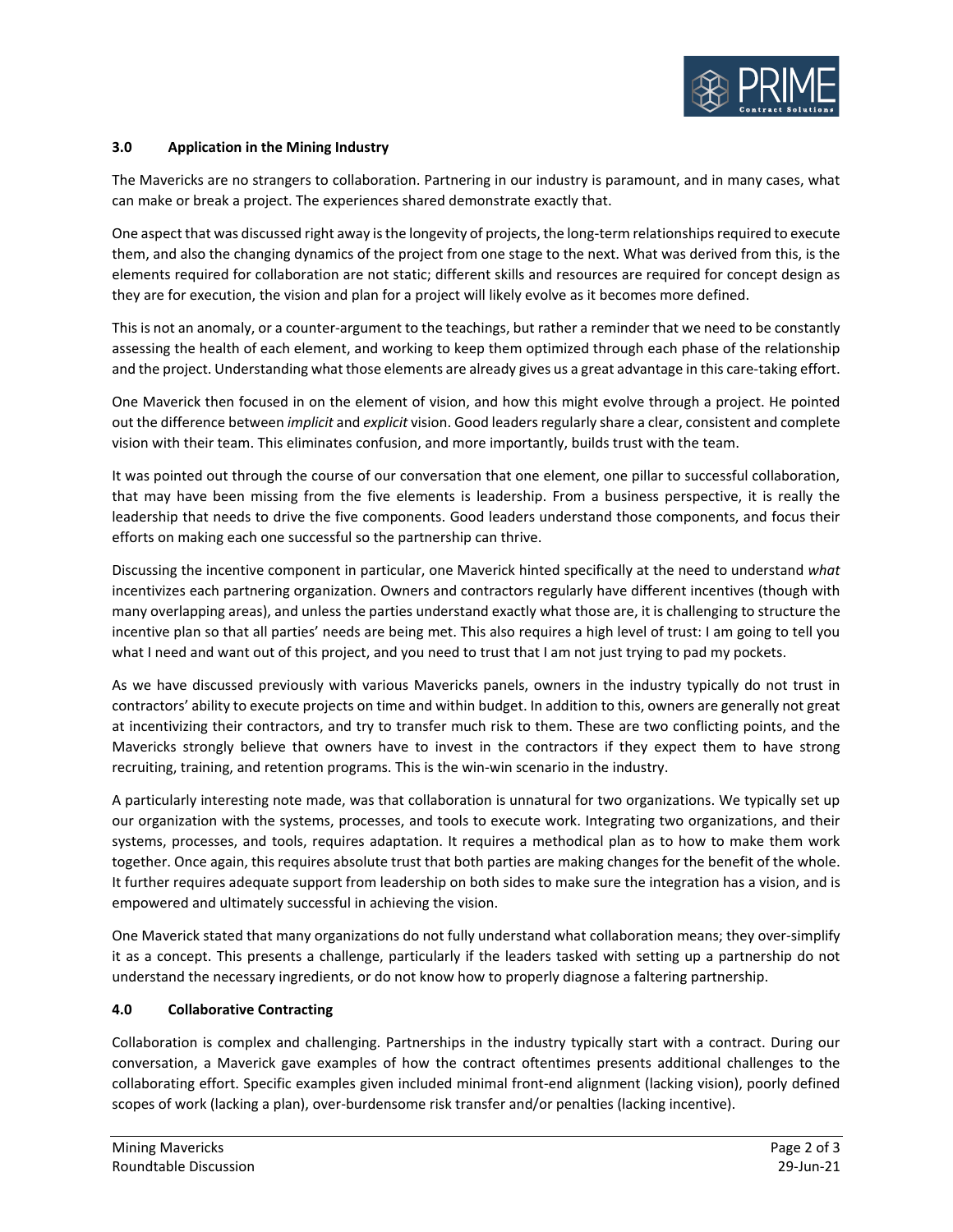

# **3.0 Application in the Mining Industry**

The Mavericks are no strangers to collaboration. Partnering in our industry is paramount, and in many cases, what can make or break a project. The experiences shared demonstrate exactly that.

One aspect that was discussed right away is the longevity of projects, the long-term relationships required to execute them, and also the changing dynamics of the project from one stage to the next. What was derived from this, is the elements required for collaboration are not static; different skills and resources are required for concept design as they are for execution, the vision and plan for a project will likely evolve as it becomes more defined.

This is not an anomaly, or a counter-argument to the teachings, but rather a reminder that we need to be constantly assessing the health of each element, and working to keep them optimized through each phase of the relationship and the project. Understanding what those elements are already gives us a great advantage in this care-taking effort.

One Maverick then focused in on the element of vision, and how this might evolve through a project. He pointed out the difference between *implicit* and *explicit* vision. Good leaders regularly share a clear, consistent and complete vision with their team. This eliminates confusion, and more importantly, builds trust with the team.

It was pointed out through the course of our conversation that one element, one pillar to successful collaboration, that may have been missing from the five elements is leadership. From a business perspective, it is really the leadership that needs to drive the five components. Good leaders understand those components, and focus their efforts on making each one successful so the partnership can thrive.

Discussing the incentive component in particular, one Maverick hinted specifically at the need to understand *what* incentivizes each partnering organization. Owners and contractors regularly have different incentives (though with many overlapping areas), and unless the parties understand exactly what those are, it is challenging to structure the incentive plan so that all parties' needs are being met. This also requires a high level of trust: I am going to tell you what I need and want out of this project, and you need to trust that I am not just trying to pad my pockets.

As we have discussed previously with various Mavericks panels, owners in the industry typically do not trust in contractors' ability to execute projects on time and within budget. In addition to this, owners are generally not great at incentivizing their contractors, and try to transfer much risk to them. These are two conflicting points, and the Mavericks strongly believe that owners have to invest in the contractors if they expect them to have strong recruiting, training, and retention programs. This is the win-win scenario in the industry.

A particularly interesting note made, was that collaboration is unnatural for two organizations. We typically set up our organization with the systems, processes, and tools to execute work. Integrating two organizations, and their systems, processes, and tools, requires adaptation. It requires a methodical plan as to how to make them work together. Once again, this requires absolute trust that both parties are making changes for the benefit of the whole. It further requires adequate support from leadership on both sides to make sure the integration has a vision, and is empowered and ultimately successful in achieving the vision.

One Maverick stated that many organizations do not fully understand what collaboration means; they over-simplify it as a concept. This presents a challenge, particularly if the leaders tasked with setting up a partnership do not understand the necessary ingredients, or do not know how to properly diagnose a faltering partnership.

## **4.0 Collaborative Contracting**

Collaboration is complex and challenging. Partnerships in the industry typically start with a contract. During our conversation, a Maverick gave examples of how the contract oftentimes presents additional challenges to the collaborating effort. Specific examples given included minimal front-end alignment (lacking vision), poorly defined scopes of work (lacking a plan), over-burdensome risk transfer and/or penalties (lacking incentive).